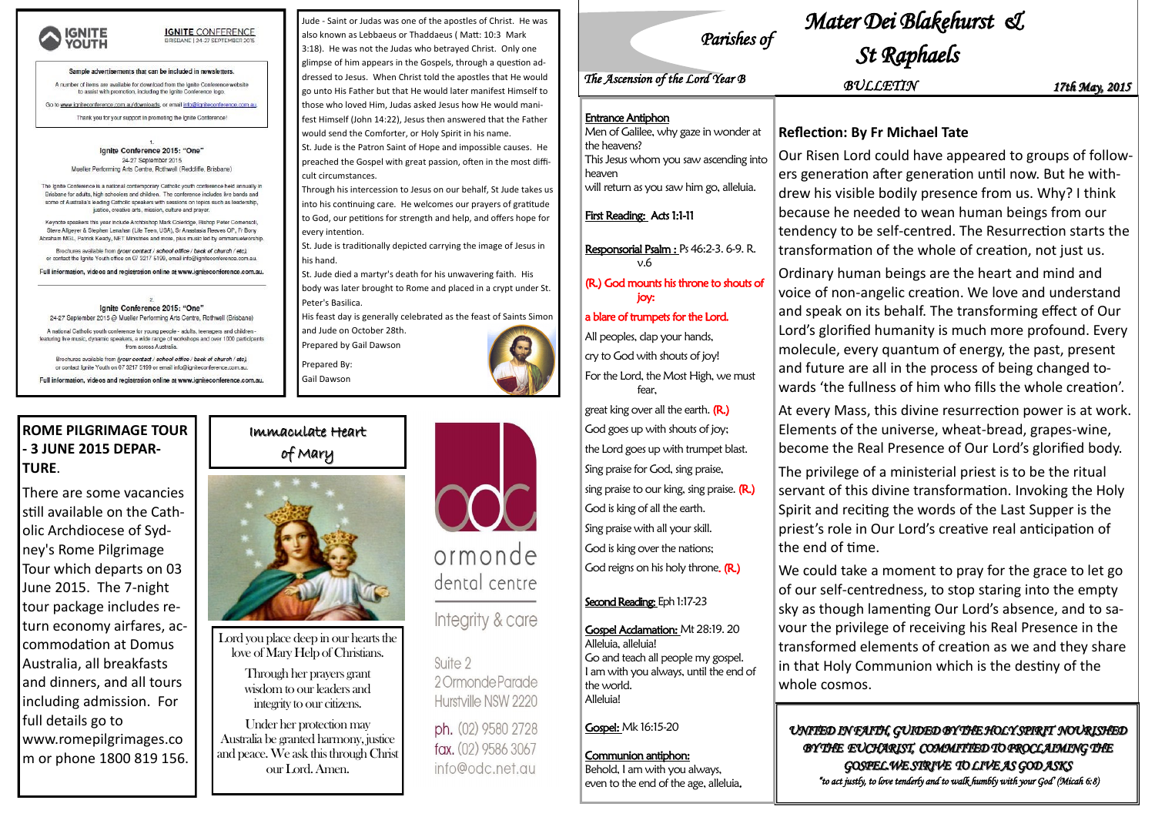

## **IGNITE CONFERENCE**

### Sample advertisements that can be included in newsletters.

A number of items are available for download from the Ignite Conference website to assist with promotion, including the Ignite Conference logo

Go to www.igniteconference.com.au/downloads, or email info@igniteconference.com.au.

Thank you for your support in promoting the lanite Conference

lanite Conference 2015: "One' 24-27 September 2015 Mueller Performing Arts Centre, Rothwell (Redcliffe, Brisbane)

The Ignite Conference is a national contemporary Catholic youth conference held annually in Brisbane for adults, high schoolers and children. The conference includes live bands and some of Australia's leading Catholic speakers with sessions on topics such as leadership justice, creative arts, mission, culture and prayer

Keynote speakers this year include Archbishop Mark Coleridge, Bishop Peter Comensoli, Steve Allgever & Stephen Lenahan (Life Teen, USA), Sr Anastasia Reeves OP, Fr Bony Abraham MGL, Patrick Keady, NET Ministries and more, plus music led by emmanuelworship

Brochures available from (your contact / school office / back of church / etc), or contact the Ignite Youth office on 07 3217 5199, email info@igniteconference.com.au

Full information, videos and registration online at www.igniteconference.com.au.

Ignite Conference 2015: "One' 24-27 September 2015 @ Mueller Performing Arts Centre, Rothwell (Brisbane)

A national Catholic youth conference for young people - adults, teenagers and children featuring live music, dynamic speakers, a wide range of workshops and over 1000 participant from across Australia.

Brochures available from (your contact / school office / back of church / etc), or contact Ignite Youth on 07 3217 5199 or email info@igniteconference.com.au

Full information, videos and registration online at www.igniteconference.com.au

# Immaculate Heart of Mary



Lord you place deep in our hearts the love of Mary Help of Christians.

> Through her prayers grant wisdom to our leaders and integrity to our citizens.

Under her protection may Australia be granted harmony, justice and peace. We ask this through Christ our Lord. Amen.

## **ROME PILGRIMAGE TOUR - 3 JUNE 2015 DEPAR-TURE**.

There are some vacancies still available on the Catholic Archdiocese of Sydney's Rome Pilgrimage Tour which departs on 03 June 2015. The 7-night tour package includes return economy airfares, accommodation at Domus Australia, all breakfasts and dinners, and all tours including admission. For full details go to www.romepilgrimages.co m or phone 1800 819 156.

His feast day is generally celebrated as the feast of Saints Simon and Jude on October 28th.

Jude - Saint or Judas was one of the apostles of Christ. He was also known as Lebbaeus or Thaddaeus ( Matt: 10:3 Mark 3:18). He was not the Judas who betrayed Christ. Only one glimpse of him appears in the Gospels, through a question addressed to Jesus. When Christ told the apostles that He would go unto His Father but that He would later manifest Himself to those who loved Him, Judas asked Jesus how He would manifest Himself (John 14:22), Jesus then answered that the Father would send the Comforter, or Holy Spirit in his name.

St. Jude is the Patron Saint of Hope and impossible causes. He preached the Gospel with great passion, often in the most difficult circumstances.

Through his intercession to Jesus on our behalf, St Jude takes us into his continuing care. He welcomes our prayers of gratitude to God, our petitions for strength and help, and offers hope for every intention.

St. Jude is traditionally depicted carrying the image of Jesus in his hand.

St. Jude died a martyr's death for his unwavering faith. His

body was later brought to Rome and placed in a crypt under St. Peter's Basilica.

Prepared by Gail Dawson

Prepared By: Gail Dawson





# ormonde dental centre

Integrity & care

Suite 2 2 Ormonde Parade Hurstville NSW 2220

ph. (02) 9580 2728 fax. (02) 9586 3067 info@odc.net.au

Responsorial Psalm : Ps 46:2-3. 6-9. R.  $v.6$ 

*Parishes of* 

# *Mater Dei Blakehurst &*

# *St Raphaels*

## **Reflection: By Fr Michael Tate**

Our Risen Lord could have appeared to groups of followers generation after generation until now. But he withdrew his visible bodily presence from us. Why? I think because he needed to wean human beings from our tendency to be self-centred. The Resurrection starts the transformation of the whole of creation, not just us.

Ordinary human beings are the heart and mind and voice of non-angelic creation. We love and understand and speak on its behalf. The transforming effect of Our Lord's glorified humanity is much more profound. Every molecule, every quantum of energy, the past, present and future are all in the process of being changed towards 'the fullness of him who fills the whole creation'. At every Mass, this divine resurrection power is at work. Elements of the universe, wheat-bread, grapes-wine, become the Real Presence of Our Lord's glorified body. The privilege of a ministerial priest is to be the ritual servant of this divine transformation. Invoking the Holy Spirit and reciting the words of the Last Supper is the priest's role in Our Lord's creative real anticipation of the end of time.

We could take a moment to pray for the grace to let go of our self-centredness, to stop staring into the empty sky as though lamenting Our Lord's absence, and to savour the privilege of receiving his Real Presence in the transformed elements of creation as we and they share in that Holy Communion which is the destiny of the whole cosmos.

*UNITED IN FAITH, GUIDED BY THE HOLY SPIRIT NOURISHED BY THE EUCHARIST, COMMITTED TO PROCLAIMING THE GOSPEL.WE STRIVE TO LIVE AS GOD ASKS "to act justly, to love tenderly and to walk humbly with your God' (Micah 6:8)* 

*BULLETIN 17th May, 2015*

### Entrance Antiphon

| Men of Galilee, why gaze in wonder at    |
|------------------------------------------|
| the heavens?                             |
| This Jesus whom you saw ascending into   |
| heaven                                   |
| will return as you saw him go, alleluia. |

### First Reading: Acts 1:1-11

### (R.) God mounts his throne to shouts of joy:

### a blare of trumpets for the Lord.

All peoples, clap your hands, cry to God with shouts of joy! For the Lord, the Most High, we must fear,

great king over all the earth.  $(R<sub>.)</sub>$ God goes up with shouts of joy; the Lord goes up with trumpet blast. Sing praise for God, sing praise, sing praise to our king, sing praise.  $(R.)$ God is king of all the earth. Sing praise with all your skill. God is king over the nations; God reigns on his holy throne. (R.)

### Second Reading: Eph 1:17-23

Gospel Acclamation: Mt 28:19. 20 Alleluia, alleluia! Go and teach all people my gospel. I am with you always, until the end of the world. Alleluia!

Gospel: Mk 16:15-20

### Communion antiphon: Behold, I am with you always, even to the end of the age, alleluia.

# *The Ascension of the Lord Year B*